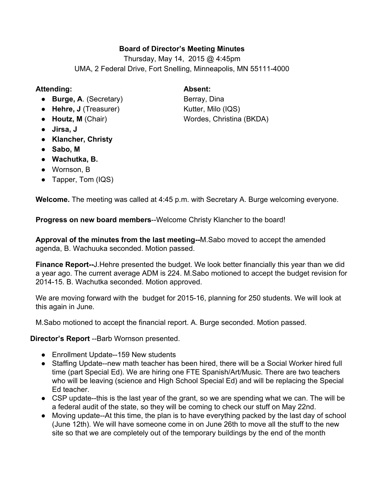# **Board of Director's Meeting Minutes**

Thursday, May 14, 2015 @ 4:45pm UMA, 2 Federal Drive, Fort Snelling, Minneapolis, MN 55111-4000

## **Attending: Absent:**

- **Burge, A**. (Secretary) Berray, Dina
- 
- 
- **Jirsa, J**
- **● Klancher, Christy**
- **Sabo, M**
- **● Wachutka, B.**
- Wornson, B
- Tapper, Tom (IQS)

**Welcome.**The meeting was called at 4:45 p.m. with Secretary A. Burge welcoming everyone.

**Progress on new board members--Welcome Christy Klancher to the board!** 

**Approval of the minutes from the last meeting--M.Sabo moved to accept the amended** agenda, B. Wachuuka seconded. Motion passed.

**Finance Report--J. Hehre presented the budget. We look better financially this year than we did** a year ago. The current average ADM is 224. M.Sabo motioned to accept the budget revision for 2014-15. B. Wachutka seconded. Motion approved.

We are moving forward with the budget for 2015-16, planning for 250 students. We will look at this again in June.

M.Sabo motioned to accept the financial report. A. Burge seconded. Motion passed.

**Director's Report** --Barb Wornson presented.

- Enrollment Update--159 New students
- Staffing Update--new math teacher has been hired, there will be a Social Worker hired full time (part Special Ed). We are hiring one FTE Spanish/Art/Music. There are two teachers who will be leaving (science and High School Special Ed) and will be replacing the Special Ed teacher.
- $\bullet$  CSP update--this is the last year of the grant, so we are spending what we can. The will be a federal audit of the state, so they will be coming to check our stuff on May 22nd.
- Moving update--At this time, the plan is to have everything packed by the last day of school (June 12th). We will have someone come in on June 26th to move all the stuff to the new site so that we are completely out of the temporary buildings by the end of the month

● Hehre, J (Treasurer) Kutter, Milo (IQS)<br>● Houtz, M (Chair) Wordes, Christina **Wordes, Christina (BKDA)**